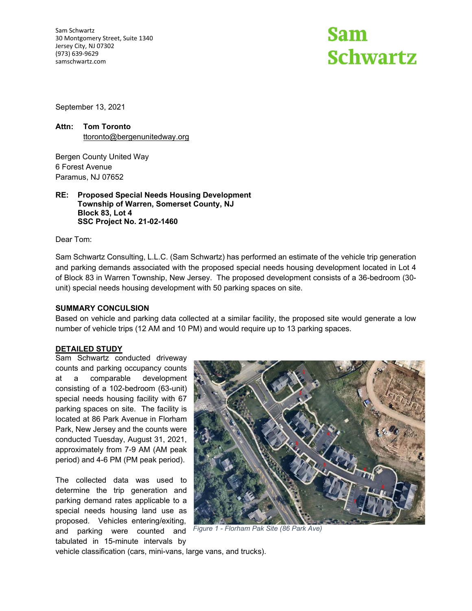Sam Schwartz 30 Montgomery Street, Suite 1340 Jersey City, NJ 07302 (973) 639-9629 samschwartz.com

# **Sam Schwartz**

September 13, 2021

### **Attn: Tom Toronto** [ttoronto@bergenunitedway.org](mailto:ttoronto@bergenunitedway.org)

Bergen County United Way 6 Forest Avenue Paramus, NJ 07652

#### **RE: Proposed Special Needs Housing Development Township of Warren, Somerset County, NJ Block 83, Lot 4 SSC Project No. 21-02-1460**

Dear Tom:

Sam Schwartz Consulting, L.L.C. (Sam Schwartz) has performed an estimate of the vehicle trip generation and parking demands associated with the proposed special needs housing development located in Lot 4 of Block 83 in Warren Township, New Jersey. The proposed development consists of a 36-bedroom (30 unit) special needs housing development with 50 parking spaces on site.

#### **SUMMARY CONCULSION**

Based on vehicle and parking data collected at a similar facility, the proposed site would generate a low number of vehicle trips (12 AM and 10 PM) and would require up to 13 parking spaces.

#### **DETAILED STUDY**

Sam Schwartz conducted driveway counts and parking occupancy counts at a comparable development consisting of a 102-bedroom (63-unit) special needs housing facility with 67 parking spaces on site. The facility is located at 86 Park Avenue in Florham Park, New Jersey and the counts were conducted Tuesday, August 31, 2021, approximately from 7-9 AM (AM peak period) and 4-6 PM (PM peak period).

The collected data was used to determine the trip generation and parking demand rates applicable to a special needs housing land use as proposed. Vehicles entering/exiting, and parking were counted and tabulated in 15-minute intervals by



*Figure 1 - Florham Pak Site (86 Park Ave)*

vehicle classification (cars, mini-vans, large vans, and trucks).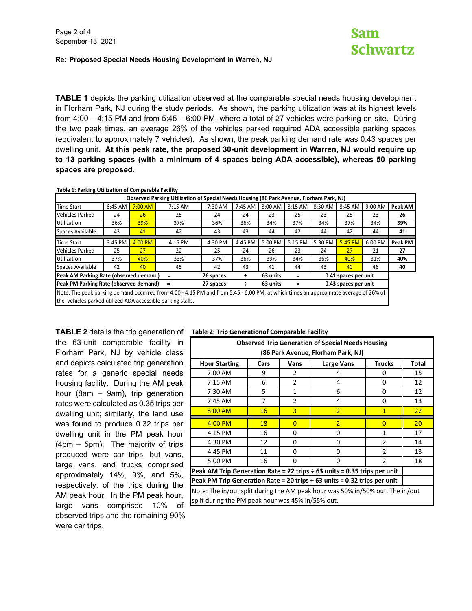## Sam **Schwartz**

#### **Re: Proposed Special Needs Housing Development in Warren, NJ**

**TABLE 1** depicts the parking utilization observed at the comparable special needs housing development in Florham Park, NJ during the study periods. As shown, the parking utilization was at its highest levels from 4:00 – 4:15 PM and from 5:45 – 6:00 PM, where a total of 27 vehicles were parking on site. During the two peak times, an average 26% of the vehicles parked required ADA accessible parking spaces (equivalent to approximately 7 vehicles). As shown, the peak parking demand rate was 0.43 spaces per dwelling unit. **At this peak rate, the proposed 30-unit development in Warren, NJ would require up to 13 parking spaces (with a minimum of 4 spaces being ADA accessible), whereas 50 parking spaces are proposed.**

**Table 1: Parking Utilization of Comparable Facility**

| Observed Parking Utilization of Special Needs Housing (86 Park Avenue, Florham Park, NJ)                                            |         |           |         |           |         |          |         |                      |         |         |         |
|-------------------------------------------------------------------------------------------------------------------------------------|---------|-----------|---------|-----------|---------|----------|---------|----------------------|---------|---------|---------|
| <b>Time Start</b>                                                                                                                   | 6:45 AM | $7:00$ AM | 7:15 AM | 7:30 AM   | 7:45 AM | 8:00 AM  | 8:15 AM | 8:30 AM              | 8:45 AM | 9:00 AM | Peak AM |
| <b>Vehicles Parked</b>                                                                                                              | 24      | 26        | 25      | 24        | 24      | 23       | 25      | 23                   | 25      | 23      | 26      |
| <b>Utilization</b>                                                                                                                  | 36%     | 39%       | 37%     | 36%       | 36%     | 34%      | 37%     | 34%                  | 37%     | 34%     | 39%     |
| Spaces Available                                                                                                                    | 43      | 41        | 42      | 43        | 43      | 44       | 42      | 44                   | 42      | 44      | 41      |
|                                                                                                                                     |         |           |         |           |         |          |         |                      |         |         |         |
| <b>Time Start</b>                                                                                                                   | 3:45 PM | $4:00$ PM | 4:15 PM | 4:30 PM   | 4:45 PM | 5:00 PM  | 5:15 PM | 5:30 PM              | 5:45 PM | 6:00 PM | Peak PM |
| <b>Vehicles Parked</b>                                                                                                              | 25      | 27        | 22      | 25        | 24      | 26       | 23      | 24                   | 27      | 21      | 27      |
| <b>Utilization</b>                                                                                                                  | 37%     | 40%       | 33%     | 37%       | 36%     | 39%      | 34%     | 36%                  | 40%     | 31%     | 40%     |
| Spaces Available                                                                                                                    | 42      | 40        | 45      | 42        | 43      | 41       | 44      | 43                   | 40      | 46      | 40      |
| Peak AM Parking Rate (observed demand)<br>Ξ                                                                                         |         |           |         | 26 spaces | ÷       | 63 units | Ξ       | 0.41 spaces per unit |         |         |         |
| Peak PM Parking Rate (observed demand)<br>$\equiv$                                                                                  |         |           |         | 27 spaces | ÷       | 63 units |         | 0.43 spaces per unit |         |         |         |
| Note: The peak parking demand occurred from 4:00 - 4:15 PM and from 5:45 - 6:00 PM, at which times an approximate average of 26% of |         |           |         |           |         |          |         |                      |         |         |         |
| the vehicles parked utilized ADA accessible parking stalls.                                                                         |         |           |         |           |         |          |         |                      |         |         |         |

**TABLE 2** details the trip generation of **Table 2: Trip Generationof Comparable Facility** the 63-unit comparable facility in Florham Park, NJ by vehicle class and depicts calculated trip generation rates for a generic special needs housing facility. During the AM peak hour (8am – 9am), trip generation rates were calculated as 0.35 trips per dwelling unit; similarly, the land use was found to produce 0.32 trips per dwelling unit in the PM peak hour (4pm – 5pm). The majority of trips produced were car trips, but vans, large vans, and trucks comprised approximately 14%, 9%, and 5%, respectively, of the trips during the AM peak hour. In the PM peak hour, large vans comprised 10% of observed trips and the remaining 90% were car trips.

| <b>Observed Trip Generation of Special Needs Housing</b><br>(86 Park Avenue, Florham Park, NJ) |                                              |      |            |                |       |  |  |  |
|------------------------------------------------------------------------------------------------|----------------------------------------------|------|------------|----------------|-------|--|--|--|
| <b>Hour Starting</b>                                                                           | Cars                                         | Vans | Large Vans | <b>Trucks</b>  | Total |  |  |  |
| 7:00 AM                                                                                        | 9                                            | 2    | 4          | 0              | 15    |  |  |  |
| $7:15$ AM                                                                                      | 6                                            | 2    | 0          | 12             |       |  |  |  |
| 5<br>12<br>7:30 AM<br>6<br>1<br>0                                                              |                                              |      |            |                |       |  |  |  |
| 7:45 AM                                                                                        | $\overline{7}$<br>$\mathfrak{p}$<br>4<br>0   |      |            |                |       |  |  |  |
| $8:00$ AM                                                                                      | 3<br>$\overline{2}$<br>16<br>$\mathbf{1}$    |      |            |                |       |  |  |  |
| $4:00$ PM                                                                                      | 18<br>$\overline{2}$<br>$\Omega$<br>$\Omega$ |      |            |                |       |  |  |  |
| 4:15 PM                                                                                        | 16                                           | 0    | 0          | 1              | 17    |  |  |  |
| 4:30 PM                                                                                        | 12                                           | 0    | 0          | $\overline{2}$ | 14    |  |  |  |
| 4:45 PM                                                                                        | 11                                           | 0    | 0          | 2              | 13    |  |  |  |
| 5:00 PM                                                                                        | 16                                           | 0    | 0          | 2              | 18    |  |  |  |
| Peak AM Trip Generation Rate = 22 trips $\div$ 63 units = 0.35 trips per unit                  |                                              |      |            |                |       |  |  |  |
| Peak PM Trip Generation Rate = 20 trips $\div$ 63 units = 0.32 trips per unit                  |                                              |      |            |                |       |  |  |  |
| Note: The in/out split during the AM peak hour was 50% in/50% out. The in/out                  |                                              |      |            |                |       |  |  |  |
| split during the PM peak hour was 45% in/55% out.                                              |                                              |      |            |                |       |  |  |  |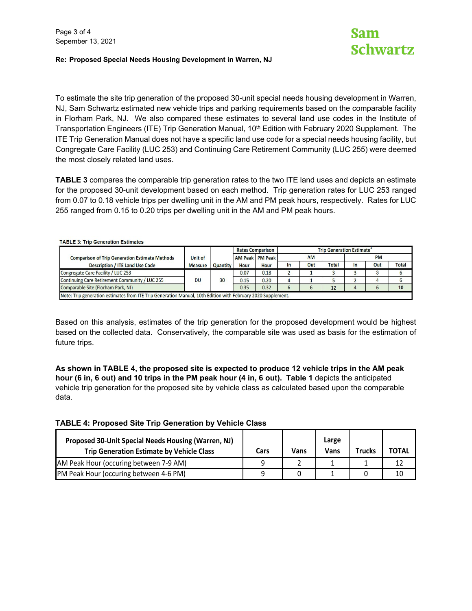#### **Re: Proposed Special Needs Housing Development in Warren, NJ**

To estimate the site trip generation of the proposed 30-unit special needs housing development in Warren, NJ, Sam Schwartz estimated new vehicle trips and parking requirements based on the comparable facility in Florham Park, NJ. We also compared these estimates to several land use codes in the Institute of Transportation Engineers (ITE) Trip Generation Manual, 10<sup>th</sup> Edition with February 2020 Supplement. The ITE Trip Generation Manual does not have a specific land use code for a special needs housing facility, but Congregate Care Facility (LUC 253) and Continuing Care Retirement Community (LUC 255) were deemed the most closely related land uses.

**TABLE 3** compares the comparable trip generation rates to the two ITE land uses and depicts an estimate for the proposed 30-unit development based on each method. Trip generation rates for LUC 253 ranged from 0.07 to 0.18 vehicle trips per dwelling unit in the AM and PM peak hours, respectively. Rates for LUC 255 ranged from 0.15 to 0.20 trips per dwelling unit in the AM and PM peak hours.

|                |          | <b>Rates Comparison</b> |      | <b>Trip Generation Estimate</b> |     |              |           |     |              |  |
|----------------|----------|-------------------------|------|---------------------------------|-----|--------------|-----------|-----|--------------|--|
| Unit of        |          |                         |      | <b>AM</b>                       |     |              | <b>PM</b> |     |              |  |
| <b>Measure</b> | Quantity | <b>Hour</b>             | Hour | In                              | Out | <b>Total</b> | In        | Out | <b>Total</b> |  |
|                |          | 0.07                    | 0.18 |                                 |     |              |           |     |              |  |
| DU             | 30       | 0.15                    | 0.20 | 4                               |     |              |           |     |              |  |
|                |          | 0.35                    | 0.32 | 6                               |     | 12           | 4         |     | 10           |  |
|                |          |                         |      | <b>AM Peak PM Peak</b>          |     |              |           |     |              |  |

Based on this analysis, estimates of the trip generation for the proposed development would be highest based on the collected data. Conservatively, the comparable site was used as basis for the estimation of future trips.

**As shown in TABLE 4, the proposed site is expected to produce 12 vehicle trips in the AM peak hour (6 in, 6 out) and 10 trips in the PM peak hour (4 in, 6 out). Table 1** depicts the anticipated vehicle trip generation for the proposed site by vehicle class as calculated based upon the comparable data.

#### **TABLE 4: Proposed Site Trip Generation by Vehicle Class**

| Proposed 30-Unit Special Needs Housing (Warren, NJ)<br><b>Trip Generation Estimate by Vehicle Class</b> | Cars | Vans | Large<br>Vans | Trucks | <b>TOTAL</b> |
|---------------------------------------------------------------------------------------------------------|------|------|---------------|--------|--------------|
| AM Peak Hour (occuring between 7-9 AM)                                                                  |      |      |               |        |              |
| PM Peak Hour (occuring between 4-6 PM)                                                                  |      |      |               |        | 10           |